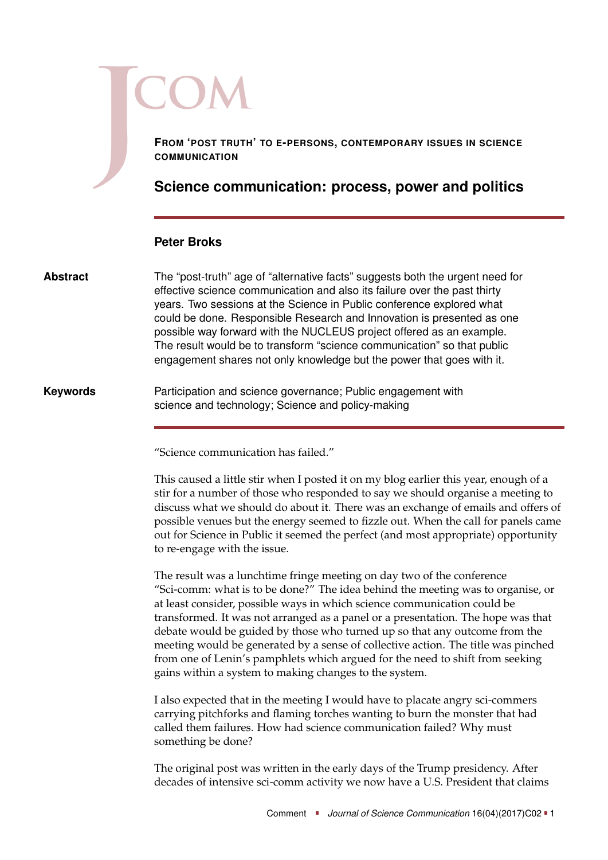**FROM 'POST TRUTH' TO E-PERSONS, CONTEMPORARY ISSUES IN SCIENCE COMMUNICATION**

## **Science communication: process, power and politics**

## **Peter Broks**

The "post-truth" age of "alternative facts" suggests both the urgent need for effective science communication and also its failure over the past thirty years. Two sessions at the Science in Public conference explored what could be done. Responsible Research and Innovation is presented as one possible way forward with the NUCLEUS project offered as an example. The result would be to transform "science communication" so that public engagement shares not only knowledge but the power that goes with it. **Abstract**

Participation and science governance; Public engagement with science and technology; Science and policy-making **Keywords**

"Science communication has failed."

This caused a little stir when I posted it on my blog earlier this year, enough of a stir for a number of those who responded to say we should organise a meeting to discuss what we should do about it. There was an exchange of emails and offers of possible venues but the energy seemed to fizzle out. When the call for panels came out for Science in Public it seemed the perfect (and most appropriate) opportunity to re-engage with the issue.

The result was a lunchtime fringe meeting on day two of the conference "Sci-comm: what is to be done?" The idea behind the meeting was to organise, or at least consider, possible ways in which science communication could be transformed. It was not arranged as a panel or a presentation. The hope was that debate would be guided by those who turned up so that any outcome from the meeting would be generated by a sense of collective action. The title was pinched from one of Lenin's pamphlets which argued for the need to shift from seeking gains within a system to making changes to the system.

I also expected that in the meeting I would have to placate angry sci-commers carrying pitchforks and flaming torches wanting to burn the monster that had called them failures. How had science communication failed? Why must something be done?

The original post was written in the early days of the Trump presidency. After decades of intensive sci-comm activity we now have a U.S. President that claims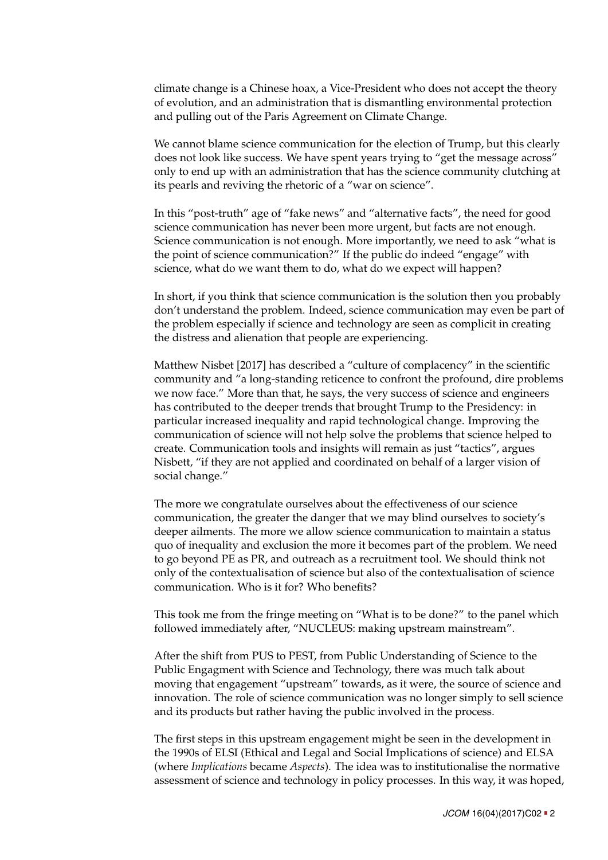climate change is a Chinese hoax, a Vice-President who does not accept the theory of evolution, and an administration that is dismantling environmental protection and pulling out of the Paris Agreement on Climate Change.

We cannot blame science communication for the election of Trump, but this clearly does not look like success. We have spent years trying to "get the message across" only to end up with an administration that has the science community clutching at its pearls and reviving the rhetoric of a "war on science".

In this "post-truth" age of "fake news" and "alternative facts", the need for good science communication has never been more urgent, but facts are not enough. Science communication is not enough. More importantly, we need to ask "what is the point of science communication?" If the public do indeed "engage" with science, what do we want them to do, what do we expect will happen?

In short, if you think that science communication is the solution then you probably don't understand the problem. Indeed, science communication may even be part of the problem especially if science and technology are seen as complicit in creating the distress and alienation that people are experiencing.

Matthew Nisbet [\[2017\]](#page-4-0) has described a "culture of complacency" in the scientific community and "a long-standing reticence to confront the profound, dire problems we now face." More than that, he says, the very success of science and engineers has contributed to the deeper trends that brought Trump to the Presidency: in particular increased inequality and rapid technological change. Improving the communication of science will not help solve the problems that science helped to create. Communication tools and insights will remain as just "tactics", argues Nisbett, "if they are not applied and coordinated on behalf of a larger vision of social change."

The more we congratulate ourselves about the effectiveness of our science communication, the greater the danger that we may blind ourselves to society's deeper ailments. The more we allow science communication to maintain a status quo of inequality and exclusion the more it becomes part of the problem. We need to go beyond PE as PR, and outreach as a recruitment tool. We should think not only of the contextualisation of science but also of the contextualisation of science communication. Who is it for? Who benefits?

This took me from the fringe meeting on "What is to be done?" to the panel which followed immediately after, "NUCLEUS: making upstream mainstream".

After the shift from PUS to PEST, from Public Understanding of Science to the Public Engagment with Science and Technology, there was much talk about moving that engagement "upstream" towards, as it were, the source of science and innovation. The role of science communication was no longer simply to sell science and its products but rather having the public involved in the process.

The first steps in this upstream engagement might be seen in the development in the 1990s of ELSI (Ethical and Legal and Social Implications of science) and ELSA (where *Implications* became *Aspects*). The idea was to institutionalise the normative assessment of science and technology in policy processes. In this way, it was hoped,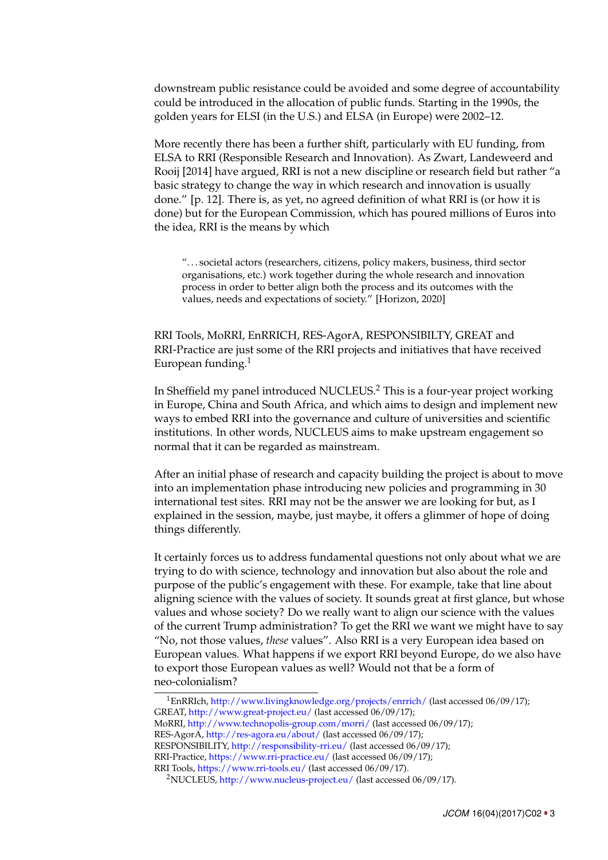downstream public resistance could be avoided and some degree of accountability could be introduced in the allocation of public funds. Starting in the 1990s, the golden years for ELSI (in the U.S.) and ELSA (in Europe) were 2002–12.

More recently there has been a further shift, particularly with EU funding, from ELSA to RRI (Responsible Research and Innovation). As Zwart, Landeweerd and Rooij [\[2014\]](#page-4-1) have argued, RRI is not a new discipline or research field but rather "a basic strategy to change the way in which research and innovation is usually done." [p. 12]. There is, as yet, no agreed definition of what RRI is (or how it is done) but for the European Commission, which has poured millions of Euros into the idea, RRI is the means by which

". . . societal actors (researchers, citizens, policy makers, business, third sector organisations, etc.) work together during the whole research and innovation process in order to better align both the process and its outcomes with the values, needs and expectations of society." [\[Horizon, 2020\]](#page-4-2)

RRI Tools, MoRRI, EnRRICH, RES-AgorA, RESPONSIBILTY, GREAT and RRI-Practice are just some of the RRI projects and initiatives that have received European funding. $1$ 

In Sheffield my panel introduced NUCLEUS.[2](#page-2-1) This is a four-year project working in Europe, China and South Africa, and which aims to design and implement new ways to embed RRI into the governance and culture of universities and scientific institutions. In other words, NUCLEUS aims to make upstream engagement so normal that it can be regarded as mainstream.

After an initial phase of research and capacity building the project is about to move into an implementation phase introducing new policies and programming in 30 international test sites. RRI may not be the answer we are looking for but, as I explained in the session, maybe, just maybe, it offers a glimmer of hope of doing things differently.

It certainly forces us to address fundamental questions not only about what we are trying to do with science, technology and innovation but also about the role and purpose of the public's engagement with these. For example, take that line about aligning science with the values of society. It sounds great at first glance, but whose values and whose society? Do we really want to align our science with the values of the current Trump administration? To get the RRI we want we might have to say "No, not those values, *these* values". Also RRI is a very European idea based on European values. What happens if we export RRI beyond Europe, do we also have to export those European values as well? Would not that be a form of neo-colonialism?

<span id="page-2-0"></span> $1$ EnRRIch, <http://www.livingknowledge.org/projects/enrrich/> (last accessed 06/09/17); GREAT, <http://www.great-project.eu/> (last accessed 06/09/17); MoRRI, <http://www.technopolis-group.com/morri/> (last accessed 06/09/17); RES-AgorA, <http://res-agora.eu/about/> (last accessed 06/09/17); RESPONSIBILITY, <http://responsibility-rri.eu/> (last accessed 06/09/17); RRI-Practice, <https://www.rri-practice.eu/> (last accessed 06/09/17); RRI Tools, <https://www.rri-tools.eu/> (last accessed 06/09/17).

<span id="page-2-1"></span><sup>2</sup>NUCLEUS, <http://www.nucleus-project.eu/> (last accessed 06/09/17).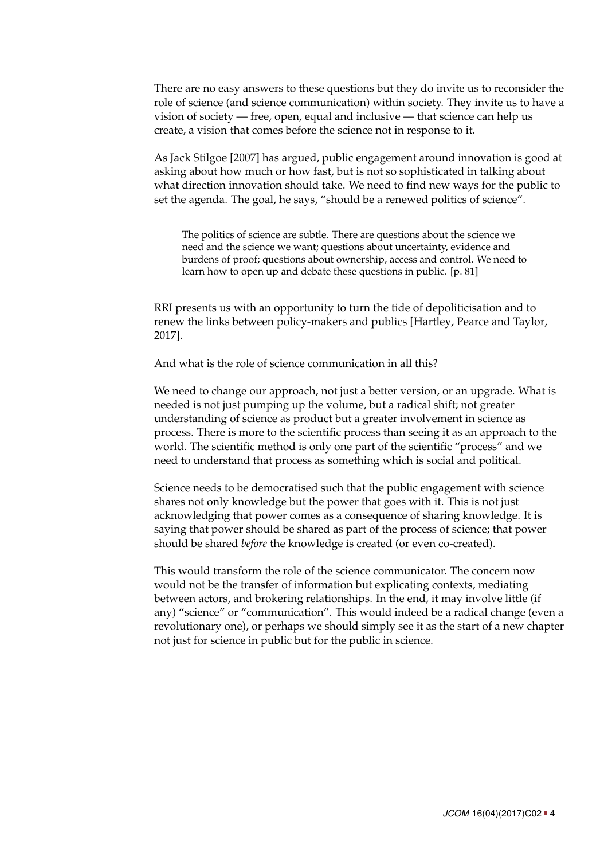There are no easy answers to these questions but they do invite us to reconsider the role of science (and science communication) within society. They invite us to have a vision of society — free, open, equal and inclusive — that science can help us create, a vision that comes before the science not in response to it.

As Jack Stilgoe [\[2007\]](#page-4-3) has argued, public engagement around innovation is good at asking about how much or how fast, but is not so sophisticated in talking about what direction innovation should take. We need to find new ways for the public to set the agenda. The goal, he says, "should be a renewed politics of science".

The politics of science are subtle. There are questions about the science we need and the science we want; questions about uncertainty, evidence and burdens of proof; questions about ownership, access and control. We need to learn how to open up and debate these questions in public. [p. 81]

RRI presents us with an opportunity to turn the tide of depoliticisation and to renew the links between policy-makers and publics [Hartley, Pearce and Taylor, [2017\]](#page-4-4).

And what is the role of science communication in all this?

We need to change our approach, not just a better version, or an upgrade. What is needed is not just pumping up the volume, but a radical shift; not greater understanding of science as product but a greater involvement in science as process. There is more to the scientific process than seeing it as an approach to the world. The scientific method is only one part of the scientific "process" and we need to understand that process as something which is social and political.

Science needs to be democratised such that the public engagement with science shares not only knowledge but the power that goes with it. This is not just acknowledging that power comes as a consequence of sharing knowledge. It is saying that power should be shared as part of the process of science; that power should be shared *before* the knowledge is created (or even co-created).

This would transform the role of the science communicator. The concern now would not be the transfer of information but explicating contexts, mediating between actors, and brokering relationships. In the end, it may involve little (if any) "science" or "communication". This would indeed be a radical change (even a revolutionary one), or perhaps we should simply see it as the start of a new chapter not just for science in public but for the public in science.